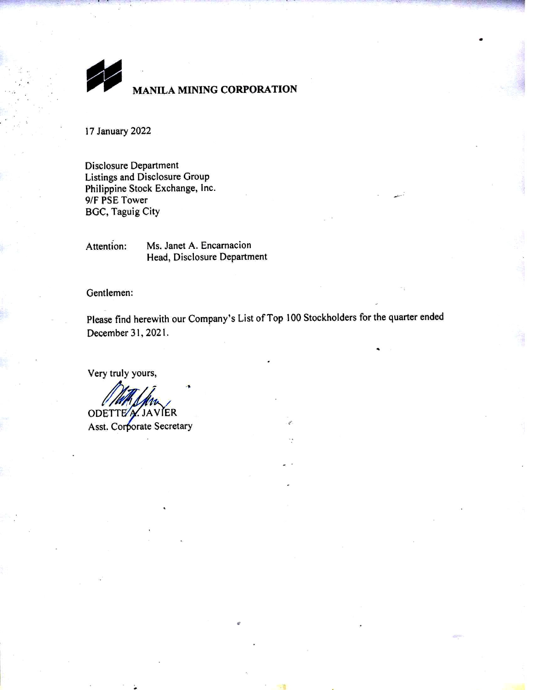**MANILA MINING CORPORATION** 

17 January 2022

**Disclosure Department** Listings and Disclosure Group Philippine Stock Exchange, Inc. 9/F PSE Tower **BGC, Taguig City** 

Attention: Ms. Janet A. Encarnacion Head, Disclosure Department

Gentlemen:

Please find herewith our Company's List of Top 100 Stockholders for the quarter ended December 31, 2021.

Very truly yours,

ODETTEA. JAVIER

Asst. Corporate Secretary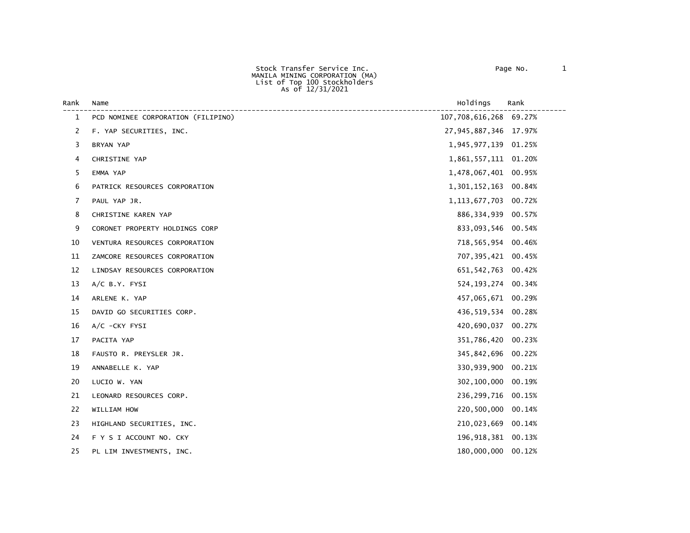Stock Transfer Service Inc. Page No. 1 MANILA MINING CORPORATION (MA) List of Top 100 Stockholders As of 12/31/2021

| Rank         | Name                               | Holdings                 | Rank   |
|--------------|------------------------------------|--------------------------|--------|
| $\mathbf{1}$ | PCD NOMINEE CORPORATION (FILIPINO) | 107,708,616,268 69.27%   |        |
| 2            | F. YAP SECURITIES, INC.            | 27,945,887,346 17.97%    |        |
| 3            | BRYAN YAP                          | 1,945,977,139 01.25%     |        |
| 4            | CHRISTINE YAP                      | 1,861,557,111 01.20%     |        |
| 5            | EMMA YAP                           | 1,478,067,401 00.95%     |        |
| 6            | PATRICK RESOURCES CORPORATION      | 1,301,152,163            | 00.84% |
| 7            | PAUL YAP JR.                       | 1, 113, 677, 703 00. 72% |        |
| 8            | CHRISTINE KAREN YAP                | 886, 334, 939 00.57%     |        |
| 9            | CORONET PROPERTY HOLDINGS CORP     | 833,093,546 00.54%       |        |
| 10           | VENTURA RESOURCES CORPORATION      | 718,565,954 00.46%       |        |
| 11           | ZAMCORE RESOURCES CORPORATION      | 707,395,421 00.45%       |        |
| 12           | LINDSAY RESOURCES CORPORATION      | 651, 542, 763 00.42%     |        |
| 13           | $A/C$ B.Y. FYSI                    | 524, 193, 274 00. 34%    |        |
| 14           | ARLENE K. YAP                      | 457,065,671 00.29%       |        |
| 15           | DAVID GO SECURITIES CORP.          | 436,519,534 00.28%       |        |
| 16           | $A/C$ -CKY FYSI                    | 420,690,037              | 00.27% |
| 17           | PACITA YAP                         | 351,786,420              | 00.23% |
| 18           | FAUSTO R. PREYSLER JR.             | 345,842,696              | 00.22% |
| 19           | ANNABELLE K. YAP                   | 330,939,900              | 00.21% |
| 20           | LUCIO W. YAN                       | 302,100,000              | 00.19% |
| 21           | LEONARD RESOURCES CORP.            | 236,299,716              | 00.15% |
| 22           | WILLIAM HOW                        | 220,500,000              | 00.14% |
| 23           | HIGHLAND SECURITIES, INC.          | 210,023,669              | 00.14% |
| 24           | F Y S I ACCOUNT NO. CKY            | 196, 918, 381 00.13%     |        |
| 25           | PL LIM INVESTMENTS, INC.           | 180,000,000              | 00.12% |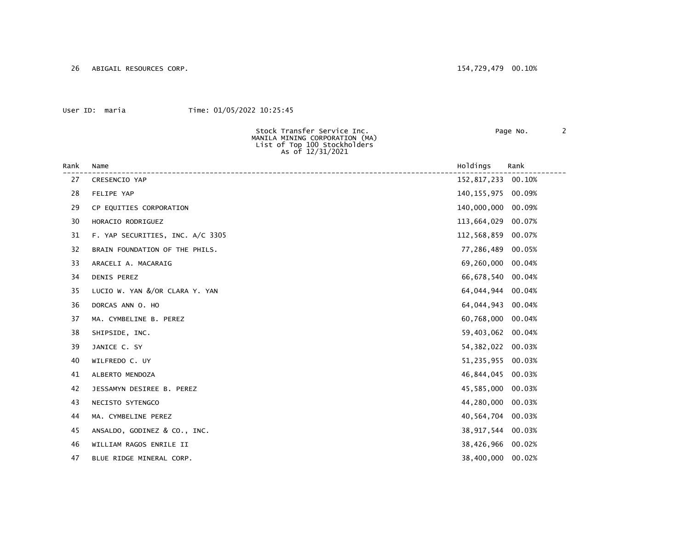26 ABIGAIL RESOURCES CORP. 154,729,479 00.10%

## User ID: maria Time: 01/05/2022 10:25:45

Stock Transfer Service Inc. Page No. 2

|      | MANILA MINING CORPORATION (MA)<br>List of Top 100 Stockholders<br>As of 12/31/2021 |                        |  |
|------|------------------------------------------------------------------------------------|------------------------|--|
| Rank | Name                                                                               | Holdings<br>Rank       |  |
| 27   | CRESENCIO YAP                                                                      | 152,817,233<br>00.10%  |  |
| 28   | FELIPE YAP                                                                         | 140,155,975<br>00.09%  |  |
| 29   | CP EQUITIES CORPORATION                                                            | 140,000,000<br>00.09%  |  |
| 30   | HORACIO RODRIGUEZ                                                                  | 113,664,029<br>00.07%  |  |
| 31   | F. YAP SECURITIES, INC. A/C 3305                                                   | 112,568,859<br>00.07%  |  |
| 32   | BRAIN FOUNDATION OF THE PHILS.                                                     | 77,286,489<br>00.05%   |  |
| 33   | ARACELI A. MACARAIG                                                                | 69,260,000<br>00.04%   |  |
| 34   | DENIS PEREZ                                                                        | 66,678,540<br>00.04%   |  |
| 35   | LUCIO W. YAN &/OR CLARA Y. YAN                                                     | 64,044,944<br>00.04%   |  |
| 36   | DORCAS ANN O. HO                                                                   | 64,044,943<br>00.04%   |  |
| 37   | MA. CYMBELINE B. PEREZ                                                             | 60,768,000<br>00.04%   |  |
| 38   | SHIPSIDE, INC.                                                                     | 59,403,062<br>00.04%   |  |
| 39   | JANICE C. SY                                                                       | 54, 382, 022<br>00.03% |  |
| 40   | WILFREDO C. UY                                                                     | 51,235,955<br>00.03%   |  |
| 41   | ALBERTO MENDOZA                                                                    | 46,844,045<br>00.03%   |  |
| 42   | JESSAMYN DESIREE B. PEREZ                                                          | 45,585,000<br>00.03%   |  |
| 43   | NECISTO SYTENGCO                                                                   | 44,280,000<br>00.03%   |  |
| 44   | MA. CYMBELINE PEREZ                                                                | 40,564,704<br>00.03%   |  |
| 45   | ANSALDO, GODINEZ & CO., INC.                                                       | 38,917,544<br>00.03%   |  |
| 46   | WILLIAM RAGOS ENRILE II                                                            | 38,426,966<br>00.02%   |  |
| 47   | BLUE RIDGE MINERAL CORP.                                                           | 38,400,000<br>00.02%   |  |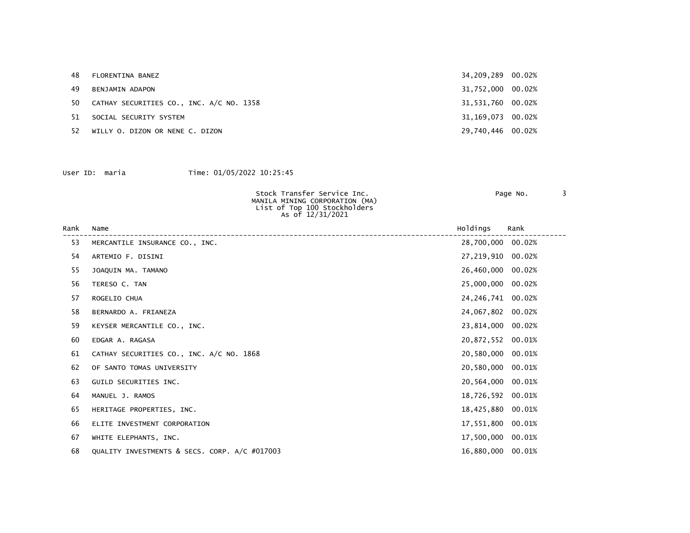| 48  | FLORENTINA BANEZ                         | 34,209,289 00.02% |  |
|-----|------------------------------------------|-------------------|--|
| 49  | BENJAMIN ADAPON                          | 31,752,000 00.02% |  |
| 50. | CATHAY SECURITIES CO., INC. A/C NO. 1358 | 31,531,760 00.02% |  |
| 51  | SOCIAL SECURITY SYSTEM                   | 31,169,073 00.02% |  |
| 52. | WILLY O. DIZON OR NENE C. DIZON          | 29,740,446 00.02% |  |

| Stock Transfer Service Inc.    | Page No. |  |
|--------------------------------|----------|--|
| MANILA MINING CORPORATION (MA) |          |  |
| List of Top 100 Stockholders   |          |  |
| As of 12/31/2021               |          |  |
|                                |          |  |

| Rank | Name                                          | Holdings            | Rank   |
|------|-----------------------------------------------|---------------------|--------|
| 53   | MERCANTILE INSURANCE CO., INC.                | 28,700,000 00.02%   |        |
| 54   | ARTEMIO F. DISINI                             | 27,219,910 00.02%   |        |
| 55   | JOAQUIN MA. TAMANO                            | 26,460,000          | 00.02% |
| 56   | TERESO C. TAN                                 | 25,000,000 00.02%   |        |
| 57   | ROGELIO CHUA                                  | 24, 246, 741 00.02% |        |
| 58   | BERNARDO A. FRIANEZA                          | 24,067,802          | 00.02% |
| 59   | KEYSER MERCANTILE CO., INC.                   | 23,814,000 00.02%   |        |
| 60   | EDGAR A. RAGASA                               | 20,872,552 00.01%   |        |
| 61   | CATHAY SECURITIES CO., INC. A/C NO. 1868      | 20,580,000 00.01%   |        |
| 62   | OF SANTO TOMAS UNIVERSITY                     | 20,580,000          | 00.01% |
| 63   | GUILD SECURITIES INC.                         | 20,564,000 00.01%   |        |
| 64   | MANUEL J. RAMOS                               | 18,726,592 00.01%   |        |
| 65   | HERITAGE PROPERTIES, INC.                     | 18,425,880          | 00.01% |
| 66   | ELITE INVESTMENT CORPORATION                  | 17,551,800          | 00.01% |
| 67   | WHITE ELEPHANTS, INC.                         | 17,500,000 00.01%   |        |
| 68   | QUALITY INVESTMENTS & SECS. CORP. A/C #017003 | 16,880,000 00.01%   |        |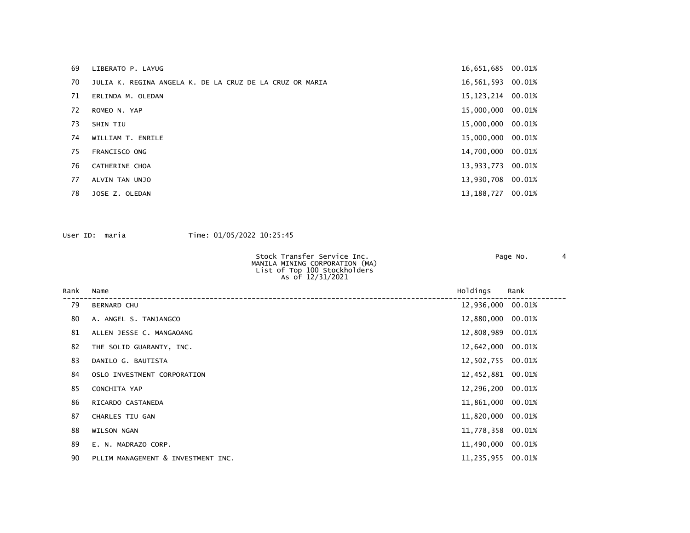| 69 | LIBERATO P. LAYUG                                        | 16,651,685 00.01%   |        |
|----|----------------------------------------------------------|---------------------|--------|
| 70 | JULIA K. REGINA ANGELA K. DE LA CRUZ DE LA CRUZ OR MARIA | 16,561,593 00.01%   |        |
| 71 | ERLINDA M. OLEDAN                                        | 15, 123, 214 00.01% |        |
| 72 | ROMEO N. YAP                                             | 15,000,000 00.01%   |        |
| 73 | <b>SHIN TIU</b>                                          | 15,000,000          | 00.01% |
| 74 | WILLIAM T. ENRILE                                        | 15,000,000 00.01%   |        |
| 75 | FRANCISCO ONG                                            | 14,700,000 00.01%   |        |
| 76 | CATHERINE CHOA                                           | 13,933,773 00.01%   |        |
| 77 | ALVIN TAN UNJO                                           | 13,930,708 00.01%   |        |
| 78 | JOSE Z. OLEDAN                                           | 13, 188, 727        | 00.01% |
|    |                                                          |                     |        |

| Stock Transfer Service Inc.    | Page No. |  |
|--------------------------------|----------|--|
| MANILA MINING CORPORATION (MA) |          |  |
| List of Top 100 Stockholders   |          |  |
| As of 12/31/2021               |          |  |

| Rank | Name                               | Holdings          | Rank |
|------|------------------------------------|-------------------|------|
| 79   | <b>BERNARD CHU</b>                 | 12,936,000 00.01% |      |
| 80   | A. ANGEL S. TANJANGCO              | 12,880,000 00.01% |      |
| 81   | ALLEN JESSE C. MANGAOANG           | 12,808,989 00.01% |      |
| 82   | THE SOLID GUARANTY, INC.           | 12,642,000 00.01% |      |
| 83   | DANILO G. BAUTISTA                 | 12,502,755 00.01% |      |
| 84   | OSLO INVESTMENT CORPORATION        | 12,452,881 00.01% |      |
| 85   | CONCHITA YAP                       | 12,296,200 00.01% |      |
| 86   | RICARDO CASTANEDA                  | 11,861,000 00.01% |      |
| 87   | CHARLES TIU GAN                    | 11,820,000 00.01% |      |
| 88   | <b>WILSON NGAN</b>                 | 11,778,358 00.01% |      |
| 89   | E. N. MADRAZO CORP.                | 11,490,000 00.01% |      |
| 90   | PLLIM MANAGEMENT & INVESTMENT INC. | 11,235,955 00.01% |      |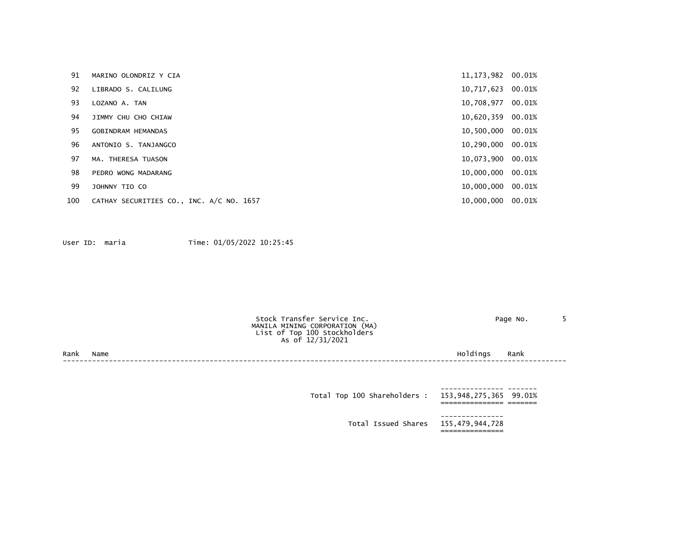| 91  | MARINO OLONDRIZ Y CIA                    | 11, 173, 982 00.01% |        |
|-----|------------------------------------------|---------------------|--------|
| 92  | LIBRADO S. CALILUNG                      | 10,717,623          | 00.01% |
| 93  | LOZANO A. TAN                            | 10,708,977          | 00.01% |
| 94  | JIMMY CHU CHO CHIAW                      | 10,620,359 00.01%   |        |
| 95  | <b>GOBINDRAM HEMANDAS</b>                | 10,500,000 00.01%   |        |
| 96  | ANTONIO S. TANJANGCO                     | 10,290,000 00.01%   |        |
| 97  | MA. THERESA TUASON                       | 10,073,900 00.01%   |        |
| 98  | PEDRO WONG MADARANG                      | 10,000,000 00.01%   |        |
| 99  | JOHNNY TIO CO                            | 10,000,000          | 00.01% |
| 100 | CATHAY SECURITIES CO., INC. A/C NO. 1657 | 10,000,000 00.01%   |        |

Page No. 5

|  | Stock Transfer Service Inc.    |
|--|--------------------------------|
|  | MANILA MINING CORPORATION (MA) |
|  | List of Top 100 Stockholders   |
|  | As of 12/31/2021               |

Rank Name Holdings Rank ------------------------------------------------------------------------------------------------------------------------

 --------------- ------- Total Top 100 Shareholders : 153,948,275,365 99.01% =============== ======= --------------- Total Issued Shares 155,479,944,728 ===============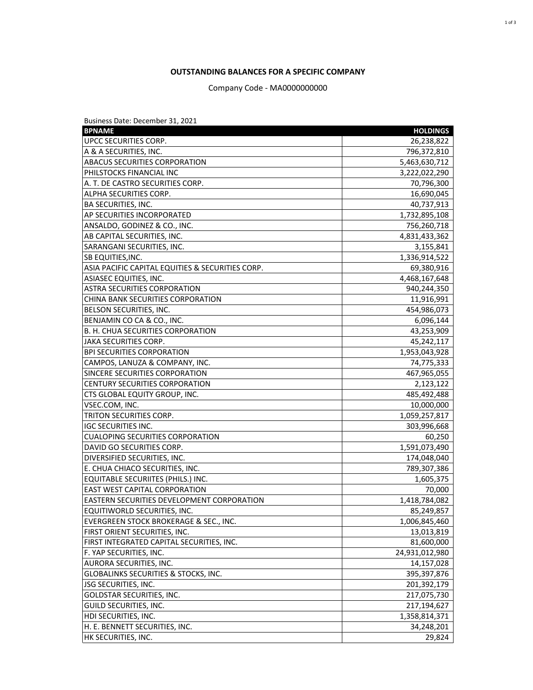## **OUTSTANDING BALANCES FOR A SPECIFIC COMPANY**

Company Code - MA0000000000

| Business Date: December 31, 2021                 |                 |
|--------------------------------------------------|-----------------|
| <b>BPNAME</b>                                    | <b>HOLDINGS</b> |
| UPCC SECURITIES CORP.                            | 26,238,822      |
| A & A SECURITIES, INC.                           | 796,372,810     |
| <b>ABACUS SECURITIES CORPORATION</b>             | 5,463,630,712   |
| PHILSTOCKS FINANCIAL INC                         | 3,222,022,290   |
| A. T. DE CASTRO SECURITIES CORP.                 | 70,796,300      |
| ALPHA SECURITIES CORP.                           | 16,690,045      |
| <b>BA SECURITIES, INC.</b>                       | 40,737,913      |
| AP SECURITIES INCORPORATED                       | 1,732,895,108   |
| ANSALDO, GODINEZ & CO., INC.                     | 756,260,718     |
| AB CAPITAL SECURITIES, INC.                      | 4,831,433,362   |
| SARANGANI SECURITIES, INC.                       | 3,155,841       |
| <b>SB EQUITIES, INC.</b>                         | 1,336,914,522   |
| ASIA PACIFIC CAPITAL EQUITIES & SECURITIES CORP. | 69,380,916      |
| ASIASEC EQUITIES, INC.                           | 4,468,167,648   |
| ASTRA SECURITIES CORPORATION                     | 940,244,350     |
| CHINA BANK SECURITIES CORPORATION                | 11,916,991      |
| BELSON SECURITIES, INC.                          | 454,986,073     |
| BENJAMIN CO CA & CO., INC.                       | 6,096,144       |
| B. H. CHUA SECURITIES CORPORATION                | 43,253,909      |
| <b>JAKA SECURITIES CORP.</b>                     | 45,242,117      |
| <b>BPI SECURITIES CORPORATION</b>                | 1,953,043,928   |
| CAMPOS, LANUZA & COMPANY, INC.                   | 74,775,333      |
| SINCERE SECURITIES CORPORATION                   | 467,965,055     |
| <b>CENTURY SECURITIES CORPORATION</b>            | 2,123,122       |
| CTS GLOBAL EQUITY GROUP, INC.                    | 485,492,488     |
| VSEC.COM, INC.                                   | 10,000,000      |
| TRITON SECURITIES CORP.                          | 1,059,257,817   |
| <b>IGC SECURITIES INC.</b>                       | 303,996,668     |
| <b>CUALOPING SECURITIES CORPORATION</b>          | 60,250          |
| DAVID GO SECURITIES CORP.                        | 1,591,073,490   |
| DIVERSIFIED SECURITIES, INC.                     | 174,048,040     |
| E. CHUA CHIACO SECURITIES, INC.                  | 789,307,386     |
| EQUITABLE SECURIITES (PHILS.) INC.               | 1,605,375       |
| EAST WEST CAPITAL CORPORATION                    | 70,000          |
| EASTERN SECURITIES DEVELOPMENT CORPORATION       | 1,418,784,082   |
| EQUITIWORLD SECURITIES, INC.                     | 85,249,857      |
| EVERGREEN STOCK BROKERAGE & SEC., INC.           | 1,006,845,460   |
| FIRST ORIENT SECURITIES, INC.                    | 13,013,819      |
| FIRST INTEGRATED CAPITAL SECURITIES, INC.        | 81,600,000      |
| F. YAP SECURITIES, INC.                          | 24,931,012,980  |
| AURORA SECURITIES, INC.                          | 14,157,028      |
| GLOBALINKS SECURITIES & STOCKS, INC.             | 395,397,876     |
| JSG SECURITIES, INC.                             | 201,392,179     |
| <b>GOLDSTAR SECURITIES, INC.</b>                 | 217,075,730     |
| GUILD SECURITIES, INC.                           | 217,194,627     |
| HDI SECURITIES, INC.                             | 1,358,814,371   |
| H. E. BENNETT SECURITIES, INC.                   | 34,248,201      |
| HK SECURITIES, INC.                              | 29,824          |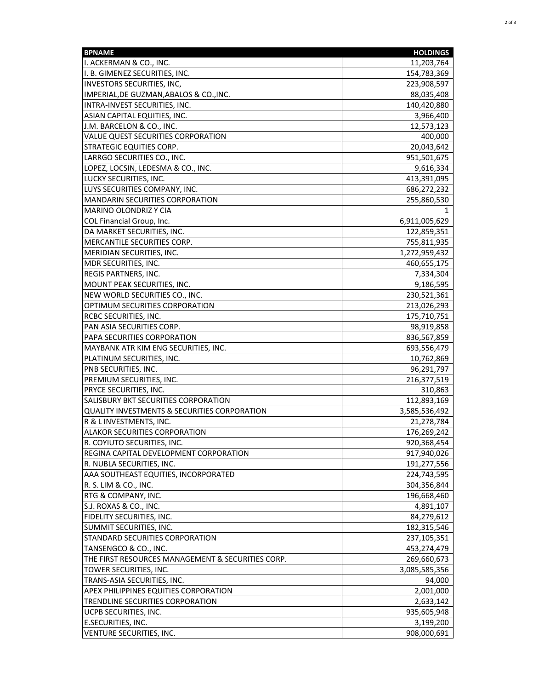| <b>BPNAME</b>                                           | <b>HOLDINGS</b> |
|---------------------------------------------------------|-----------------|
| I. ACKERMAN & CO., INC.                                 | 11,203,764      |
| I. B. GIMENEZ SECURITIES, INC.                          | 154,783,369     |
| <b>INVESTORS SECURITIES, INC,</b>                       | 223,908,597     |
| IMPERIAL, DE GUZMAN, ABALOS & CO., INC.                 | 88,035,408      |
| INTRA-INVEST SECURITIES, INC.                           | 140,420,880     |
| ASIAN CAPITAL EQUITIES, INC.                            | 3,966,400       |
| J.M. BARCELON & CO., INC.                               | 12,573,123      |
| VALUE QUEST SECURITIES CORPORATION                      | 400,000         |
| <b>STRATEGIC EQUITIES CORP.</b>                         | 20,043,642      |
| LARRGO SECURITIES CO., INC.                             | 951,501,675     |
| LOPEZ, LOCSIN, LEDESMA & CO., INC.                      | 9,616,334       |
| LUCKY SECURITIES, INC.                                  | 413,391,095     |
| LUYS SECURITIES COMPANY, INC.                           | 686,272,232     |
| <b>MANDARIN SECURITIES CORPORATION</b>                  | 255,860,530     |
| MARINO OLONDRIZ Y CIA                                   |                 |
| COL Financial Group, Inc.                               | 6,911,005,629   |
| DA MARKET SECURITIES, INC.                              | 122,859,351     |
| MERCANTILE SECURITIES CORP.                             | 755,811,935     |
| <b>MERIDIAN SECURITIES, INC.</b>                        | 1,272,959,432   |
| MDR SECURITIES, INC.                                    | 460,655,175     |
| REGIS PARTNERS, INC.                                    | 7,334,304       |
| MOUNT PEAK SECURITIES, INC.                             | 9,186,595       |
| NEW WORLD SECURITIES CO., INC.                          | 230,521,361     |
| OPTIMUM SECURITIES CORPORATION                          | 213,026,293     |
| <b>RCBC SECURITIES, INC.</b>                            | 175,710,751     |
| PAN ASIA SECURITIES CORP.                               | 98,919,858      |
| PAPA SECURITIES CORPORATION                             | 836,567,859     |
| MAYBANK ATR KIM ENG SECURITIES, INC.                    | 693,556,479     |
| PLATINUM SECURITIES, INC.                               | 10,762,869      |
| PNB SECURITIES, INC.                                    | 96,291,797      |
| PREMIUM SECURITIES, INC.                                | 216,377,519     |
| PRYCE SECURITIES, INC.                                  | 310,863         |
| SALISBURY BKT SECURITIES CORPORATION                    | 112,893,169     |
| <b>QUALITY INVESTMENTS &amp; SECURITIES CORPORATION</b> | 3,585,536,492   |
| R & L INVESTMENTS, INC.                                 | 21,278,784      |
| <b>ALAKOR SECURITIES CORPORATION</b>                    | 176,269,242     |
| R. COYIUTO SECURITIES, INC.                             | 920,368,454     |
| REGINA CAPITAL DEVELOPMENT CORPORATION                  | 917,940,026     |
| R. NUBLA SECURITIES, INC.                               | 191,277,556     |
| AAA SOUTHEAST EQUITIES, INCORPORATED                    | 224,743,595     |
| R. S. LIM & CO., INC.                                   | 304,356,844     |
| RTG & COMPANY, INC.                                     | 196,668,460     |
| S.J. ROXAS & CO., INC.                                  | 4,891,107       |
| FIDELITY SECURITIES, INC.                               | 84,279,612      |
| SUMMIT SECURITIES, INC.                                 | 182,315,546     |
| STANDARD SECURITIES CORPORATION                         | 237,105,351     |
| TANSENGCO & CO., INC.                                   | 453,274,479     |
| THE FIRST RESOURCES MANAGEMENT & SECURITIES CORP.       | 269,660,673     |
| TOWER SECURITIES, INC.                                  | 3,085,585,356   |
| TRANS-ASIA SECURITIES, INC.                             | 94,000          |
| <b>APEX PHILIPPINES EQUITIES CORPORATION</b>            | 2,001,000       |
| TRENDLINE SECURITIES CORPORATION                        | 2,633,142       |
| UCPB SECURITIES, INC.                                   | 935,605,948     |
| E.SECURITIES, INC.                                      | 3,199,200       |
| VENTURE SECURITIES, INC.                                | 908,000,691     |
|                                                         |                 |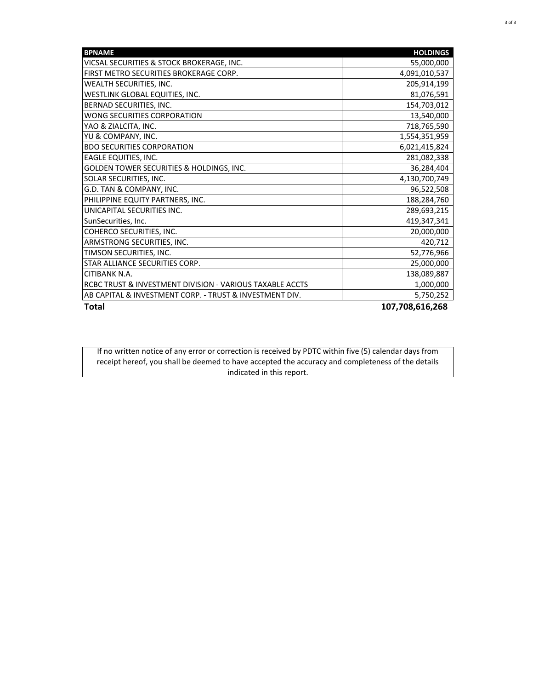| <b>BPNAME</b>                                            | <b>HOLDINGS</b> |
|----------------------------------------------------------|-----------------|
| VICSAL SECURITIES & STOCK BROKERAGE, INC.                | 55,000,000      |
| FIRST METRO SECURITIES BROKERAGE CORP.                   | 4,091,010,537   |
| WEALTH SECURITIES, INC.                                  | 205,914,199     |
| WESTLINK GLOBAL EQUITIES, INC.                           | 81,076,591      |
| BERNAD SECURITIES, INC.                                  | 154,703,012     |
| WONG SECURITIES CORPORATION                              | 13,540,000      |
| YAO & ZIALCITA, INC.                                     | 718,765,590     |
| YU & COMPANY, INC.                                       | 1,554,351,959   |
| <b>BDO SECURITIES CORPORATION</b>                        | 6,021,415,824   |
| <b>EAGLE EQUITIES, INC.</b>                              | 281,082,338     |
| GOLDEN TOWER SECURITIES & HOLDINGS, INC.                 | 36,284,404      |
| SOLAR SECURITIES, INC.                                   | 4,130,700,749   |
| G.D. TAN & COMPANY, INC.                                 | 96,522,508      |
| PHILIPPINE EQUITY PARTNERS, INC.                         | 188,284,760     |
| UNICAPITAL SECURITIES INC.                               | 289,693,215     |
| SunSecurities, Inc.                                      | 419,347,341     |
| COHERCO SECURITIES, INC.                                 | 20,000,000      |
| ARMSTRONG SECURITIES, INC.                               | 420,712         |
| TIMSON SECURITIES, INC.                                  | 52,776,966      |
| STAR ALLIANCE SECURITIES CORP.                           | 25,000,000      |
| <b>CITIBANK N.A.</b>                                     | 138,089,887     |
| RCBC TRUST & INVESTMENT DIVISION - VARIOUS TAXABLE ACCTS | 1,000,000       |
| AB CAPITAL & INVESTMENT CORP. - TRUST & INVESTMENT DIV.  | 5,750,252       |
| <b>Total</b>                                             | 107,708,616,268 |

If no written notice of any error or correction is received by PDTC within five (5) calendar days from receipt hereof, you shall be deemed to have accepted the accuracy and completeness of the details indicated in this report.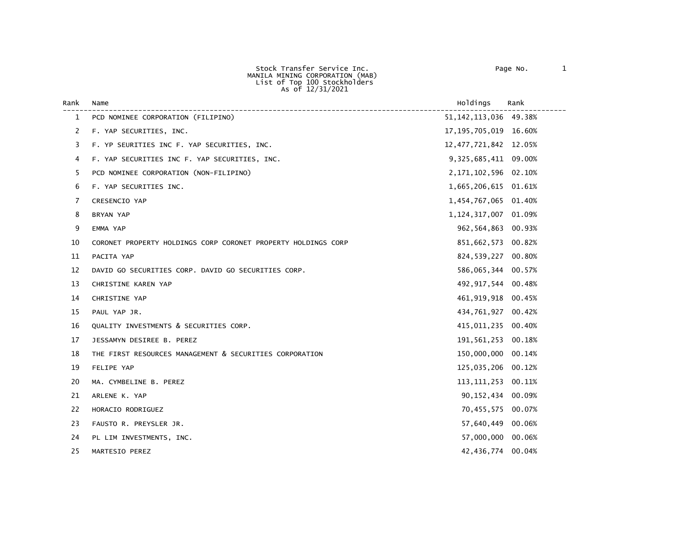Stock Transfer Service Inc. Page No. 1 MANILA MINING CORPORATION (MAB) List of Top 100 Stockholders As of 12/31/2021

| Rank         | Name                                                          | Holdings                 | Rank   |
|--------------|---------------------------------------------------------------|--------------------------|--------|
| $\mathbf{1}$ | PCD NOMINEE CORPORATION (FILIPINO)                            | 51, 142, 113, 036 49.38% |        |
| 2            | F. YAP SECURITIES, INC.                                       | 17, 195, 705, 019 16.60% |        |
| 3            | F. YP SEURITIES INC F. YAP SECURITIES, INC.                   | 12, 477, 721, 842 12.05% |        |
| 4            | F. YAP SECURITIES INC F. YAP SECURITIES, INC.                 | 9,325,685,411 09.00%     |        |
| 5            | PCD NOMINEE CORPORATION (NON-FILIPINO)                        | 2, 171, 102, 596 02. 10% |        |
| 6            | F. YAP SECURITIES INC.                                        | 1,665,206,615 01.61%     |        |
| 7            | CRESENCIO YAP                                                 | 1,454,767,065 01.40%     |        |
| 8            | BRYAN YAP                                                     | 1,124,317,007            | 01.09% |
| 9            | EMMA YAP                                                      | 962,564,863 00.93%       |        |
| 10           | CORONET PROPERTY HOLDINGS CORP CORONET PROPERTY HOLDINGS CORP | 851,662,573              | 00.82% |
| 11           | PACITA YAP                                                    | 824,539,227 00.80%       |        |
| 12           | DAVID GO SECURITIES CORP. DAVID GO SECURITIES CORP.           | 586,065,344 00.57%       |        |
| 13           | CHRISTINE KAREN YAP                                           | 492, 917, 544 00.48%     |        |
| 14           | CHRISTINE YAP                                                 | 461, 919, 918 00.45%     |        |
| 15           | PAUL YAP JR.                                                  | 434,761,927              | 00.42% |
| 16           | QUALITY INVESTMENTS & SECURITIES CORP.                        | 415,011,235              | 00.40% |
| 17           | JESSAMYN DESIREE B. PEREZ                                     | 191,561,253              | 00.18% |
| 18           | THE FIRST RESOURCES MANAGEMENT & SECURITIES CORPORATION       | 150,000,000              | 00.14% |
| 19           | FELIPE YAP                                                    | 125,035,206              | 00.12% |
| 20           | MA. CYMBELINE B. PEREZ                                        | 113, 111, 253            | 00.11% |
| 21           | ARLENE K. YAP                                                 | 90,152,434               | 00.09% |
| 22           | HORACIO RODRIGUEZ                                             | 70,455,575 00.07%        |        |
| 23           | FAUSTO R. PREYSLER JR.                                        | 57,640,449               | 00.06% |
| 24           | PL LIM INVESTMENTS, INC.                                      | 57,000,000 00.06%        |        |
| 25           | MARTESIO PEREZ                                                | 42,436,774               | 00.04% |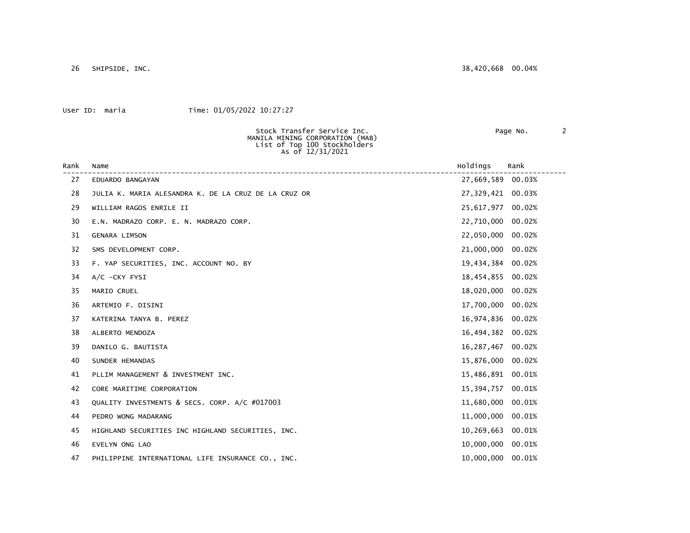26 SHIPSIDE, INC. 38,420,668 00.04%

## User ID: maria Time: 01/05/2022 10:27:27

Stock Transfer Service Inc. The Contract of Page No. 2 MANILA MINING CORPORATION (MAB) List of Top 100 Stockholders As of 12/31/2021 Rank Name Holdings Rank ------------------------------------------------------------------------------------------------------------------------ 27 EDUARDO BANGAYAN 28 JULIA K. MARIA ALESANDRA K. DE LA CRUZ DE LA CRUZ OR 27,329,421 00.03% 29 WILLIAM RAGOS ENRILE II 25,617,977 00.02% 30 E.N. MADRAZO CORP. E. N. MADRAZO CORP. 22,710,000 00.02% 31 GENARA LIMSON 22,050,000 00.02% 32 SMS DEVELOPMENT CORP. 21,000,000 00.02% 33 F. YAP SECURITIES, INC. ACCOUNT NO. BY 19,434,384 00.02% 34 A/C -CKY FYSI 18,454,855 00.02% 35 MARIO CRUEL 18,020,000 00.02% 36 ARTEMIO F. DISINI 17,700,000 00.02% 37 KATERINA TANYA B. PEREZ 16,974,836 00.02% 38 ALBERTO MENDOZA 16,494,382 00.02% 39 DANILO G. BAUTISTA 16,287,467 00.02% 40 SUNDER HEMANDAS 15,876,000 00.02% 41 PLLIM MANAGEMENT & INVESTMENT INC.  $15,486,891$  00.01% 42 CORE MARITIME CORPORATION 15,394,757 00.01% 43 QUALITY INVESTMENTS & SECS. CORP. A/C #017003 11,680,000 00.01% 44 PEDRO WONG MADARANG 11,000,000 00.01% 45 HIGHLAND SECURITIES INC HIGHLAND SECURITIES, INC. 10,269,663 00.01% 46 EVELYN ONG LAO 10,000,000 00.01% 47 PHILIPPINE INTERNATIONAL LIFE INSURANCE CO., INC. 10,000,000 00.01%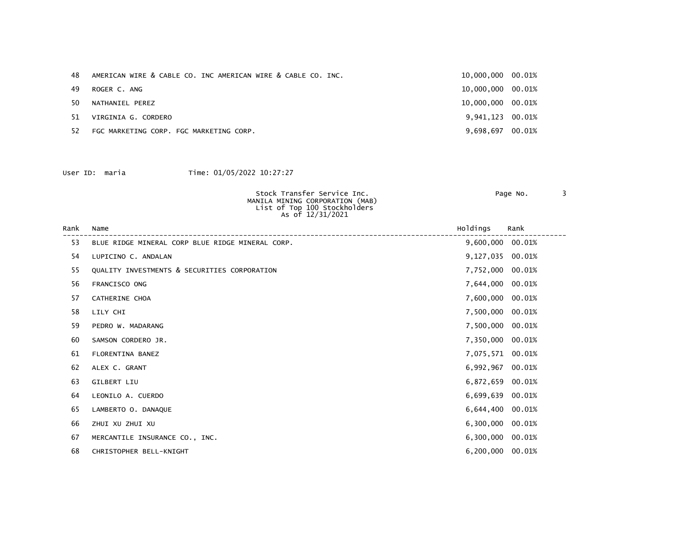| 48. | AMERICAN WIRE & CABLE CO. INC AMERICAN WIRE & CABLE CO. INC. | 10,000,000 00.01% |  |
|-----|--------------------------------------------------------------|-------------------|--|
| 49  | ROGER C. ANG                                                 | 10,000,000 00.01% |  |
| 50  | NATHANIEL PEREZ                                              | 10,000,000 00.01% |  |
| 51  | VIRGINIA G. CORDERO                                          | 9,941,123 00.01%  |  |
| 52  | FGC MARKETING CORP. FGC MARKETING CORP.                      | 9,698,697 00.01%  |  |

| Stock Transfer Service Inc.<br>MANILA MINING CORPORATION (MAB)<br>List of Top 100 Stockholders<br>As of 12/31/2021 | Page No. |  |
|--------------------------------------------------------------------------------------------------------------------|----------|--|
|                                                                                                                    |          |  |

| Rank | Name                                             | Holdings         | Rank   |
|------|--------------------------------------------------|------------------|--------|
| 53   | BLUE RIDGE MINERAL CORP BLUE RIDGE MINERAL CORP. | 9,600,000 00.01% |        |
| 54   | LUPICINO C. ANDALAN                              | 9,127,035 00.01% |        |
| 55   | QUALITY INVESTMENTS & SECURITIES CORPORATION     | 7,752,000        | 00.01% |
| 56   | FRANCISCO ONG                                    | 7,644,000 00.01% |        |
| 57   | CATHERINE CHOA                                   | 7,600,000 00.01% |        |
| 58   | LILY CHI                                         | 7,500,000 00.01% |        |
| 59   | PEDRO W. MADARANG                                | 7,500,000 00.01% |        |
| 60   | SAMSON CORDERO JR.                               | 7,350,000 00.01% |        |
| 61   | FLORENTINA BANEZ                                 | 7,075,571 00.01% |        |
| 62   | ALEX C. GRANT                                    | 6,992,967 00.01% |        |
| 63   | GILBERT LIU                                      | 6,872,659 00.01% |        |
| 64   | LEONILO A. CUERDO                                | 6,699,639 00.01% |        |
| 65   | LAMBERTO O. DANAQUE                              | 6,644,400 00.01% |        |
| 66   | ZHUI XU ZHUI XU                                  | 6,300,000        | 00.01% |
| 67   | MERCANTILE INSURANCE CO., INC.                   | 6,300,000 00.01% |        |
| 68   | CHRISTOPHER BELL-KNIGHT                          | 6,200,000 00.01% |        |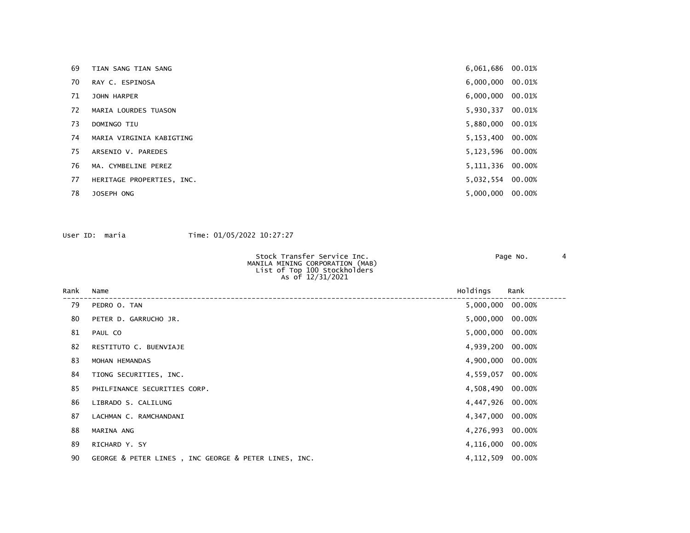| 69 | TIAN SANG TIAN SANG       | 6,061,686 00.01%   |  |
|----|---------------------------|--------------------|--|
| 70 | RAY C. ESPINOSA           | 6,000,000 00.01%   |  |
| 71 | <b>JOHN HARPER</b>        | $6,000,000$ 00.01% |  |
| 72 | MARIA LOURDES TUASON      | 5,930,337 00.01%   |  |
| 73 | DOMINGO TIU               | 5,880,000 00.01%   |  |
| 74 | MARIA VIRGINIA KABIGTING  | 5,153,400 00.00%   |  |
| 75 | ARSENIO V. PAREDES        | 5,123,596 00.00%   |  |
| 76 | MA. CYMBELINE PEREZ       | 5,111,336 00.00%   |  |
| 77 | HERITAGE PROPERTIES, INC. | 5,032,554 00.00%   |  |
| 78 | JOSEPH ONG                | 5,000,000 00.00%   |  |
|    |                           |                    |  |

| Stock Transfer Service Inc.<br>MANILA MINING CORPORATION (MAB)<br>List of Top 100 Stockholders<br>As of 12/31/2021 | Page No. |  |
|--------------------------------------------------------------------------------------------------------------------|----------|--|
|                                                                                                                    |          |  |

| Rank | Name                                                 | Holdings           | Rank |
|------|------------------------------------------------------|--------------------|------|
| 79   | PEDRO O. TAN                                         | 5,000,000 00.00%   |      |
| 80   | PETER D. GARRUCHO JR.                                | 5,000,000 00.00%   |      |
| 81   | PAUL CO                                              | 5,000,000 00.00%   |      |
| 82   | RESTITUTO C. BUENVIAJE                               | 4,939,200 00.00%   |      |
| 83   | MOHAN HEMANDAS                                       | 4,900,000 00.00%   |      |
| 84   | TIONG SECURITIES, INC.                               | 4,559,057 00.00%   |      |
| 85   | PHILFINANCE SECURITIES CORP.                         | 4,508,490 00.00%   |      |
| 86   | LIBRADO S. CALILUNG                                  | 4,447,926 00.00%   |      |
| 87   | LACHMAN C. RAMCHANDANI                               | 4,347,000 00.00%   |      |
| 88   | MARINA ANG                                           | 4,276,993 00.00%   |      |
| 89   | RICHARD Y. SY                                        | 4,116,000 00.00%   |      |
| 90   | GEORGE & PETER LINES, INC GEORGE & PETER LINES, INC. | 4, 112, 509 00.00% |      |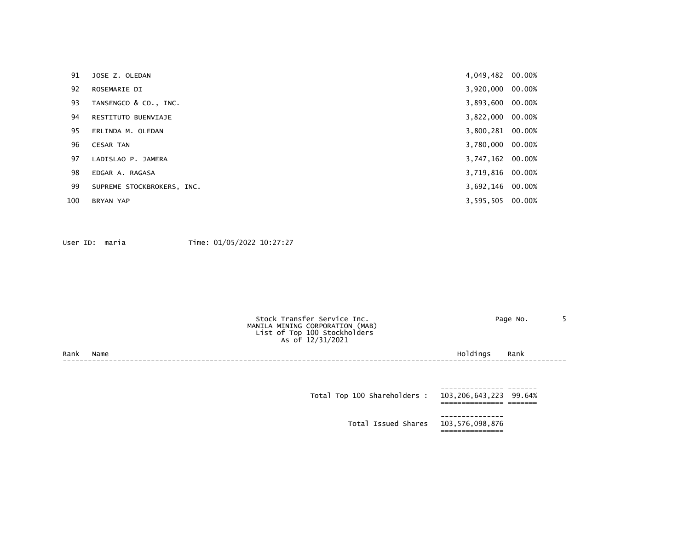| 91  | JOSE Z. OLEDAN             | 4,049,482 00.00% |        |
|-----|----------------------------|------------------|--------|
| 92  | ROSEMARIE DI               | 3,920,000 00.00% |        |
| 93  | TANSENGCO & CO., INC.      | 3,893,600 00.00% |        |
| 94  | RESTITUTO BUENVIAJE        | 3,822,000 00.00% |        |
| 95  | ERLINDA M. OLEDAN          | 3,800,281 00.00% |        |
| 96  | <b>CESAR TAN</b>           | 3,780,000 00.00% |        |
| 97  | LADISLAO P. JAMERA         | 3,747,162 00.00% |        |
| 98  | EDGAR A. RAGASA            | 3,719,816 00.00% |        |
| 99  | SUPREME STOCKBROKERS, INC. | 3,692,146        | 00.00% |
| 100 | BRYAN YAP                  | 3,595,505 00.00% |        |

|      |      | Stock Transfer Service Inc.<br>MANILA MINING CORPORATION (MAB)<br>List of Top 100 Stockholders<br>As of 12/31/2021 |          | Page No. |  |
|------|------|--------------------------------------------------------------------------------------------------------------------|----------|----------|--|
| Rank | Name |                                                                                                                    | Holdings | Rank     |  |
|      |      |                                                                                                                    |          |          |  |
|      |      |                                                                                                                    |          |          |  |
|      |      |                                                                                                                    |          |          |  |

| Total Top 100 Shareholders : | 103,206,643,223 99.64%              |  |
|------------------------------|-------------------------------------|--|
|                              | Total Issued Shares 103,576,098,876 |  |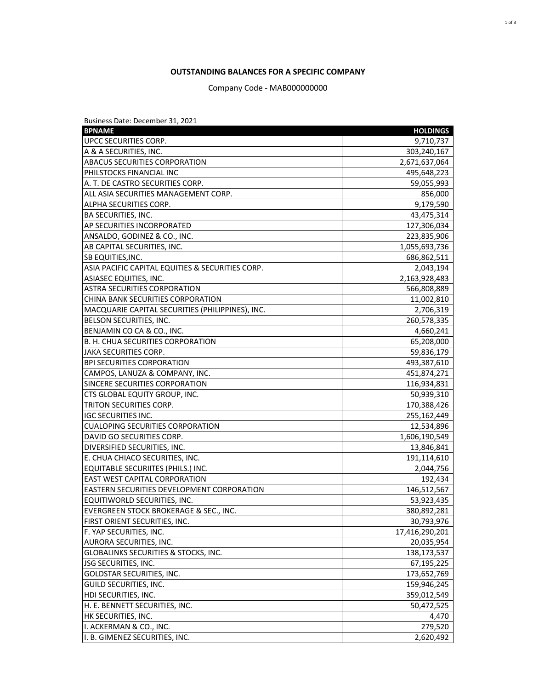## **OUTSTANDING BALANCES FOR A SPECIFIC COMPANY**

Company Code - MAB000000000

| Business Date: December 31, 2021                 |                 |
|--------------------------------------------------|-----------------|
| <b>BPNAME</b>                                    | <b>HOLDINGS</b> |
| UPCC SECURITIES CORP.                            | 9,710,737       |
| A & A SECURITIES, INC.                           | 303,240,167     |
| ABACUS SECURITIES CORPORATION                    | 2,671,637,064   |
| PHILSTOCKS FINANCIAL INC                         | 495,648,223     |
| A. T. DE CASTRO SECURITIES CORP.                 | 59,055,993      |
| ALL ASIA SECURITIES MANAGEMENT CORP.             | 856,000         |
| ALPHA SECURITIES CORP.                           | 9,179,590       |
| <b>BA SECURITIES, INC.</b>                       | 43,475,314      |
| AP SECURITIES INCORPORATED                       | 127,306,034     |
| ANSALDO, GODINEZ & CO., INC.                     | 223,835,906     |
| AB CAPITAL SECURITIES, INC.                      | 1,055,693,736   |
| SB EQUITIES, INC.                                | 686,862,511     |
| ASIA PACIFIC CAPITAL EQUITIES & SECURITIES CORP. | 2,043,194       |
| ASIASEC EQUITIES, INC.                           | 2,163,928,483   |
| <b>ASTRA SECURITIES CORPORATION</b>              | 566,808,889     |
| CHINA BANK SECURITIES CORPORATION                | 11,002,810      |
| MACQUARIE CAPITAL SECURITIES (PHILIPPINES), INC. | 2,706,319       |
| BELSON SECURITIES, INC.                          | 260,578,335     |
| BENJAMIN CO CA & CO., INC.                       | 4,660,241       |
| B. H. CHUA SECURITIES CORPORATION                | 65,208,000      |
| JAKA SECURITIES CORP.                            | 59,836,179      |
| <b>BPI SECURITIES CORPORATION</b>                | 493,387,610     |
| CAMPOS, LANUZA & COMPANY, INC.                   | 451,874,271     |
| SINCERE SECURITIES CORPORATION                   | 116,934,831     |
| CTS GLOBAL EQUITY GROUP, INC.                    | 50,939,310      |
| TRITON SECURITIES CORP.                          | 170,388,426     |
| <b>IGC SECURITIES INC.</b>                       | 255,162,449     |
| <b>CUALOPING SECURITIES CORPORATION</b>          | 12,534,896      |
| DAVID GO SECURITIES CORP.                        | 1,606,190,549   |
| DIVERSIFIED SECURITIES, INC.                     | 13,846,841      |
| E. CHUA CHIACO SECURITIES, INC.                  | 191,114,610     |
| EQUITABLE SECURIITES (PHILS.) INC.               | 2,044,756       |
| <b>EAST WEST CAPITAL CORPORATION</b>             | 192,434         |
| EASTERN SECURITIES DEVELOPMENT CORPORATION       | 146,512,567     |
| EQUITIWORLD SECURITIES, INC.                     | 53,923,435      |
| EVERGREEN STOCK BROKERAGE & SEC., INC.           | 380,892,281     |
| FIRST ORIENT SECURITIES, INC.                    | 30,793,976      |
| F. YAP SECURITIES, INC.                          | 17,416,290,201  |
| AURORA SECURITIES, INC.                          | 20,035,954      |
| GLOBALINKS SECURITIES & STOCKS, INC.             | 138,173,537     |
| JSG SECURITIES, INC.                             | 67,195,225      |
| GOLDSTAR SECURITIES, INC.                        | 173,652,769     |
| <b>GUILD SECURITIES, INC.</b>                    | 159,946,245     |
| HDI SECURITIES, INC.                             | 359,012,549     |
| H. E. BENNETT SECURITIES, INC.                   | 50,472,525      |
| HK SECURITIES, INC.                              | 4,470           |
| I. ACKERMAN & CO., INC.                          | 279,520         |
| I. B. GIMENEZ SECURITIES, INC.                   | 2,620,492       |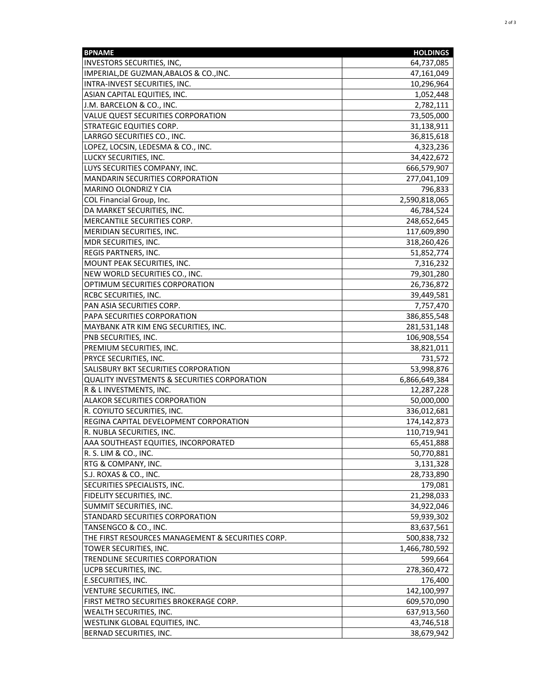| <b>BPNAME</b>                                           | <b>HOLDINGS</b> |
|---------------------------------------------------------|-----------------|
| <b>INVESTORS SECURITIES, INC,</b>                       | 64,737,085      |
| IMPERIAL, DE GUZMAN, ABALOS & CO., INC.                 | 47,161,049      |
| INTRA-INVEST SECURITIES, INC.                           | 10,296,964      |
| ASIAN CAPITAL EQUITIES, INC.                            | 1,052,448       |
| J.M. BARCELON & CO., INC.                               | 2,782,111       |
| VALUE QUEST SECURITIES CORPORATION                      | 73,505,000      |
| <b>STRATEGIC EQUITIES CORP.</b>                         | 31,138,911      |
| LARRGO SECURITIES CO., INC.                             | 36,815,618      |
| LOPEZ, LOCSIN, LEDESMA & CO., INC.                      | 4,323,236       |
| LUCKY SECURITIES, INC.                                  | 34,422,672      |
| LUYS SECURITIES COMPANY, INC.                           | 666,579,907     |
| MANDARIN SECURITIES CORPORATION                         | 277,041,109     |
| MARINO OLONDRIZ Y CIA                                   | 796,833         |
| COL Financial Group, Inc.                               | 2,590,818,065   |
|                                                         |                 |
| DA MARKET SECURITIES, INC.                              | 46,784,524      |
| MERCANTILE SECURITIES CORP.                             | 248,652,645     |
| MERIDIAN SECURITIES, INC.                               | 117,609,890     |
| MDR SECURITIES, INC.                                    | 318,260,426     |
| REGIS PARTNERS, INC.                                    | 51,852,774      |
| MOUNT PEAK SECURITIES, INC.                             | 7,316,232       |
| NEW WORLD SECURITIES CO., INC.                          | 79,301,280      |
| OPTIMUM SECURITIES CORPORATION                          | 26,736,872      |
| <b>RCBC SECURITIES, INC.</b>                            | 39,449,581      |
| PAN ASIA SECURITIES CORP.                               | 7,757,470       |
| PAPA SECURITIES CORPORATION                             | 386,855,548     |
| MAYBANK ATR KIM ENG SECURITIES, INC.                    | 281,531,148     |
| PNB SECURITIES, INC.                                    | 106,908,554     |
| PREMIUM SECURITIES, INC.                                | 38,821,011      |
| PRYCE SECURITIES, INC.                                  | 731,572         |
| SALISBURY BKT SECURITIES CORPORATION                    | 53,998,876      |
| <b>QUALITY INVESTMENTS &amp; SECURITIES CORPORATION</b> | 6,866,649,384   |
| R & L INVESTMENTS, INC.                                 | 12,287,228      |
| <b>ALAKOR SECURITIES CORPORATION</b>                    | 50,000,000      |
| R. COYIUTO SECURITIES, INC.                             | 336,012,681     |
| REGINA CAPITAL DEVELOPMENT CORPORATION                  | 174,142,873     |
| R. NUBLA SECURITIES, INC.                               | 110,719,941     |
| AAA SOUTHEAST EQUITIES, INCORPORATED                    | 65,451,888      |
| R. S. LIM & CO., INC.                                   | 50,770,881      |
| RTG & COMPANY, INC.                                     | 3,131,328       |
| S.J. ROXAS & CO., INC.                                  | 28,733,890      |
| SECURITIES SPECIALISTS, INC.                            | 179,081         |
| <b>FIDELITY SECURITIES, INC.</b>                        | 21,298,033      |
| SUMMIT SECURITIES, INC.                                 | 34,922,046      |
| STANDARD SECURITIES CORPORATION                         | 59,939,302      |
| TANSENGCO & CO., INC.                                   | 83,637,561      |
| THE FIRST RESOURCES MANAGEMENT & SECURITIES CORP.       | 500,838,732     |
| TOWER SECURITIES, INC.                                  | 1,466,780,592   |
| TRENDLINE SECURITIES CORPORATION                        | 599,664         |
|                                                         |                 |
| <b>UCPB SECURITIES, INC.</b>                            | 278,360,472     |
| E.SECURITIES, INC.                                      | 176,400         |
| VENTURE SECURITIES, INC.                                | 142,100,997     |
| FIRST METRO SECURITIES BROKERAGE CORP.                  | 609,570,090     |
| WEALTH SECURITIES, INC.                                 | 637,913,560     |
| WESTLINK GLOBAL EQUITIES, INC.                          | 43,746,518      |
| BERNAD SECURITIES, INC.                                 | 38,679,942      |